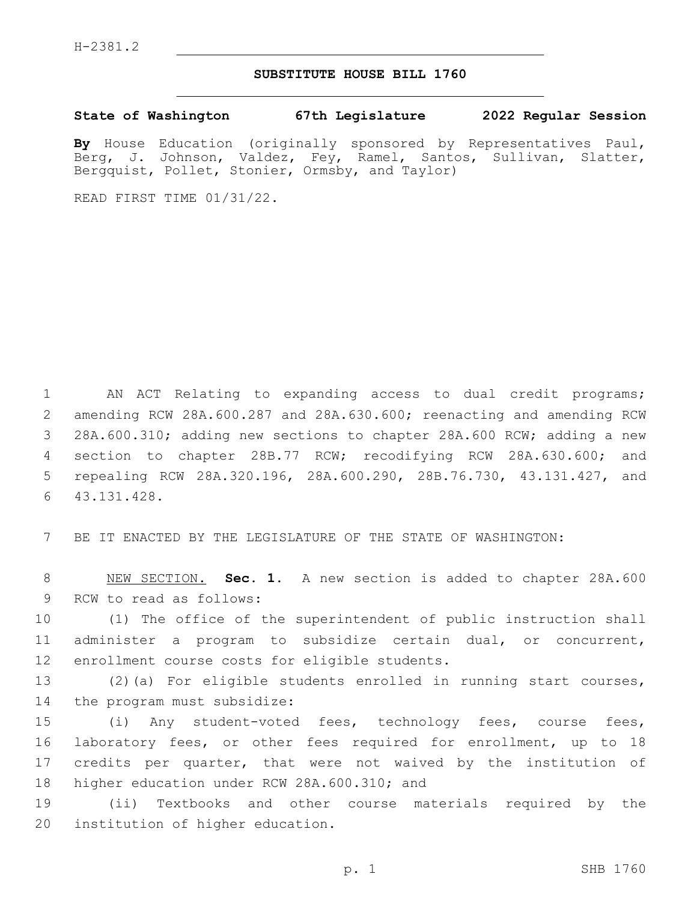## **SUBSTITUTE HOUSE BILL 1760**

**State of Washington 67th Legislature 2022 Regular Session**

**By** House Education (originally sponsored by Representatives Paul, Berg, J. Johnson, Valdez, Fey, Ramel, Santos, Sullivan, Slatter, Bergquist, Pollet, Stonier, Ormsby, and Taylor)

READ FIRST TIME 01/31/22.

 AN ACT Relating to expanding access to dual credit programs; amending RCW 28A.600.287 and 28A.630.600; reenacting and amending RCW 28A.600.310; adding new sections to chapter 28A.600 RCW; adding a new section to chapter 28B.77 RCW; recodifying RCW 28A.630.600; and repealing RCW 28A.320.196, 28A.600.290, 28B.76.730, 43.131.427, and 43.131.428.6

7 BE IT ENACTED BY THE LEGISLATURE OF THE STATE OF WASHINGTON:

8 NEW SECTION. **Sec. 1.** A new section is added to chapter 28A.600 9 RCW to read as follows:

10 (1) The office of the superintendent of public instruction shall 11 administer a program to subsidize certain dual, or concurrent, 12 enrollment course costs for eligible students.

13 (2)(a) For eligible students enrolled in running start courses, 14 the program must subsidize:

 (i) Any student-voted fees, technology fees, course fees, laboratory fees, or other fees required for enrollment, up to 18 credits per quarter, that were not waived by the institution of 18 higher education under RCW 28A.600.310; and

19 (ii) Textbooks and other course materials required by the 20 institution of higher education.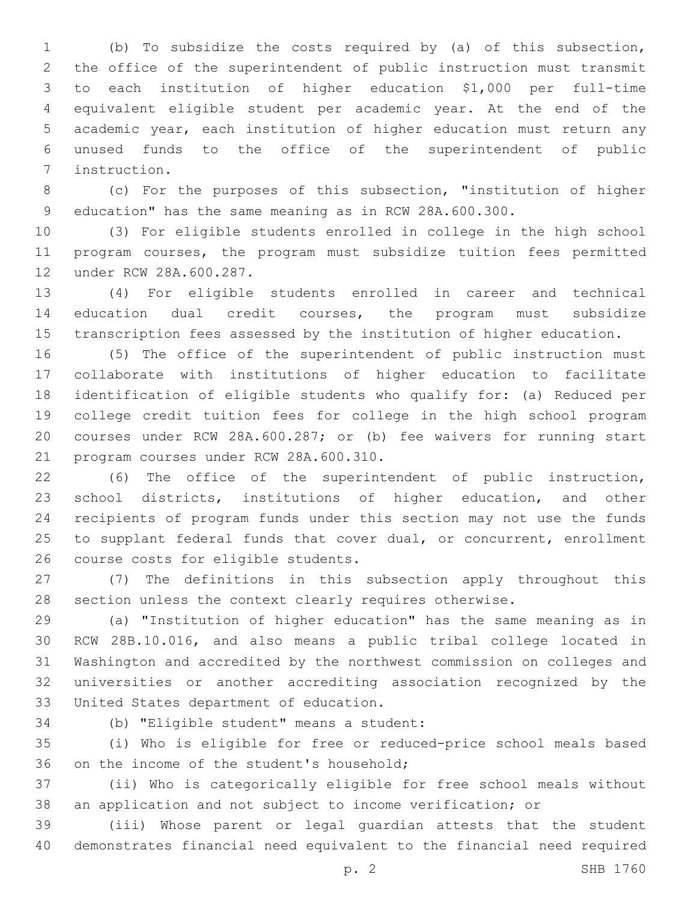(b) To subsidize the costs required by (a) of this subsection, the office of the superintendent of public instruction must transmit to each institution of higher education \$1,000 per full-time equivalent eligible student per academic year. At the end of the academic year, each institution of higher education must return any unused funds to the office of the superintendent of public 7 instruction.

 (c) For the purposes of this subsection, "institution of higher education" has the same meaning as in RCW 28A.600.300.

 (3) For eligible students enrolled in college in the high school program courses, the program must subsidize tuition fees permitted 12 under RCW 28A.600.287.

 (4) For eligible students enrolled in career and technical education dual credit courses, the program must subsidize transcription fees assessed by the institution of higher education.

 (5) The office of the superintendent of public instruction must collaborate with institutions of higher education to facilitate identification of eligible students who qualify for: (a) Reduced per college credit tuition fees for college in the high school program courses under RCW 28A.600.287; or (b) fee waivers for running start 21 program courses under RCW 28A.600.310.

 (6) The office of the superintendent of public instruction, school districts, institutions of higher education, and other recipients of program funds under this section may not use the funds to supplant federal funds that cover dual, or concurrent, enrollment 26 course costs for eligible students.

 (7) The definitions in this subsection apply throughout this section unless the context clearly requires otherwise.

 (a) "Institution of higher education" has the same meaning as in RCW 28B.10.016, and also means a public tribal college located in Washington and accredited by the northwest commission on colleges and universities or another accrediting association recognized by the 33 United States department of education.

34 (b) "Eligible student" means a student:

 (i) Who is eligible for free or reduced-price school meals based 36 on the income of the student's household;

 (ii) Who is categorically eligible for free school meals without an application and not subject to income verification; or

 (iii) Whose parent or legal guardian attests that the student demonstrates financial need equivalent to the financial need required

p. 2 SHB 1760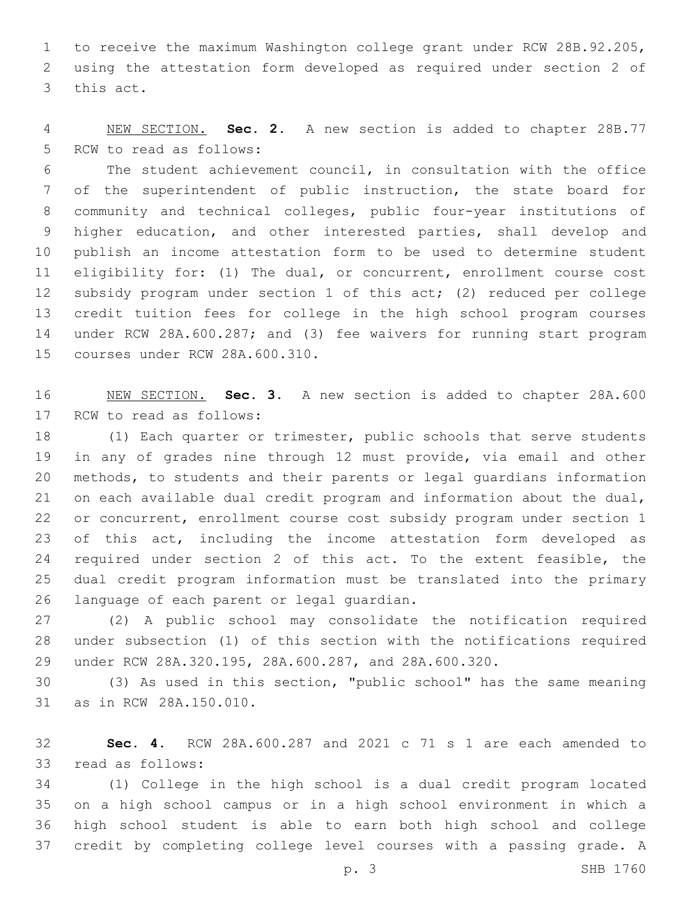to receive the maximum Washington college grant under RCW 28B.92.205, using the attestation form developed as required under section 2 of 3 this act.

 NEW SECTION. **Sec. 2.** A new section is added to chapter 28B.77 5 RCW to read as follows:

 The student achievement council, in consultation with the office of the superintendent of public instruction, the state board for community and technical colleges, public four-year institutions of higher education, and other interested parties, shall develop and publish an income attestation form to be used to determine student eligibility for: (1) The dual, or concurrent, enrollment course cost subsidy program under section 1 of this act; (2) reduced per college credit tuition fees for college in the high school program courses under RCW 28A.600.287; and (3) fee waivers for running start program 15 courses under RCW 28A.600.310.

 NEW SECTION. **Sec. 3.** A new section is added to chapter 28A.600 17 RCW to read as follows:

 (1) Each quarter or trimester, public schools that serve students in any of grades nine through 12 must provide, via email and other methods, to students and their parents or legal guardians information on each available dual credit program and information about the dual, or concurrent, enrollment course cost subsidy program under section 1 of this act, including the income attestation form developed as required under section 2 of this act. To the extent feasible, the dual credit program information must be translated into the primary 26 language of each parent or legal guardian.

 (2) A public school may consolidate the notification required under subsection (1) of this section with the notifications required under RCW 28A.320.195, 28A.600.287, and 28A.600.320.

 (3) As used in this section, "public school" has the same meaning 31 as in RCW 28A.150.010.

 **Sec. 4.** RCW 28A.600.287 and 2021 c 71 s 1 are each amended to 33 read as follows:

 (1) College in the high school is a dual credit program located on a high school campus or in a high school environment in which a high school student is able to earn both high school and college credit by completing college level courses with a passing grade. A

p. 3 SHB 1760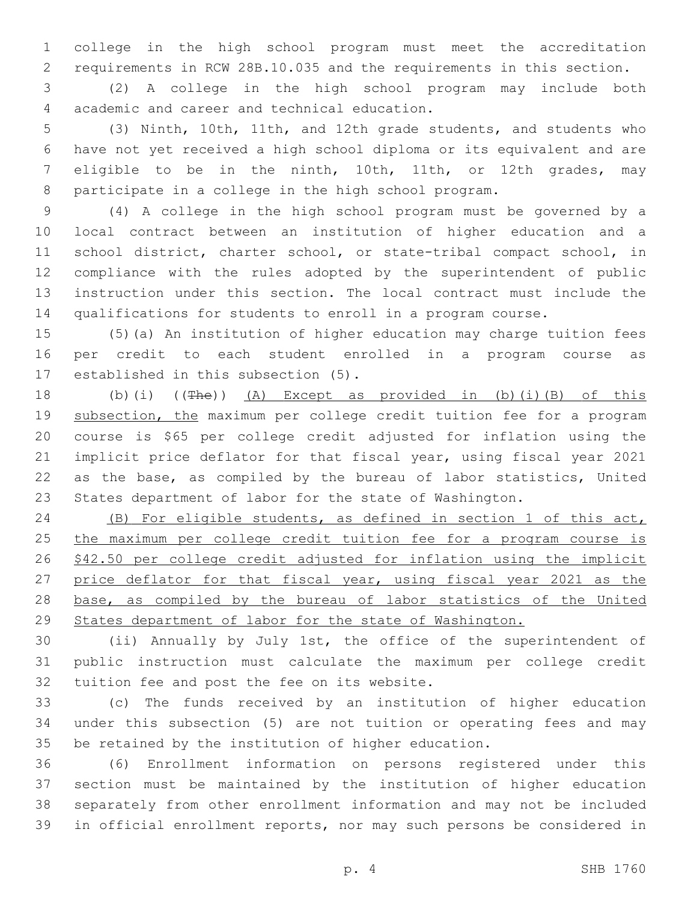college in the high school program must meet the accreditation requirements in RCW 28B.10.035 and the requirements in this section.

 (2) A college in the high school program may include both academic and career and technical education.4

 (3) Ninth, 10th, 11th, and 12th grade students, and students who have not yet received a high school diploma or its equivalent and are eligible to be in the ninth, 10th, 11th, or 12th grades, may participate in a college in the high school program.

 (4) A college in the high school program must be governed by a local contract between an institution of higher education and a school district, charter school, or state-tribal compact school, in compliance with the rules adopted by the superintendent of public instruction under this section. The local contract must include the qualifications for students to enroll in a program course.

 (5)(a) An institution of higher education may charge tuition fees per credit to each student enrolled in a program course as 17 established in this subsection (5).

 (b)(i) ((The)) (A) Except as provided in (b)(i)(B) of this 19 subsection, the maximum per college credit tuition fee for a program course is \$65 per college credit adjusted for inflation using the implicit price deflator for that fiscal year, using fiscal year 2021 as the base, as compiled by the bureau of labor statistics, United States department of labor for the state of Washington.

 (B) For eligible students, as defined in section 1 of this act, 25 the maximum per college credit tuition fee for a program course is \$42.50 per college credit adjusted for inflation using the implicit 27 price deflator for that fiscal year, using fiscal year 2021 as the 28 base, as compiled by the bureau of labor statistics of the United States department of labor for the state of Washington.

 (ii) Annually by July 1st, the office of the superintendent of public instruction must calculate the maximum per college credit 32 tuition fee and post the fee on its website.

 (c) The funds received by an institution of higher education under this subsection (5) are not tuition or operating fees and may be retained by the institution of higher education.

 (6) Enrollment information on persons registered under this section must be maintained by the institution of higher education separately from other enrollment information and may not be included in official enrollment reports, nor may such persons be considered in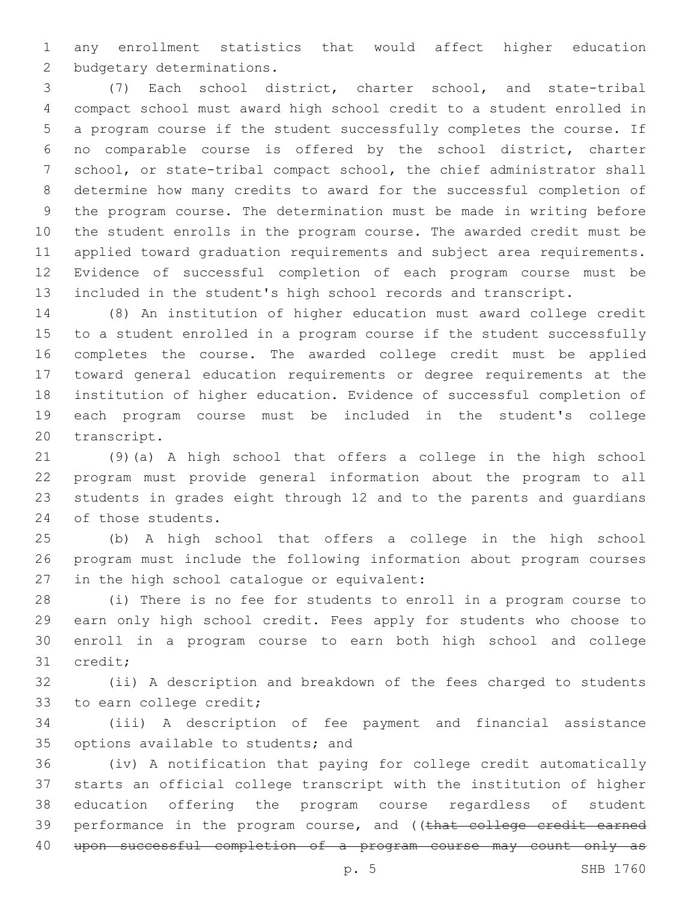any enrollment statistics that would affect higher education 2 budgetary determinations.

 (7) Each school district, charter school, and state-tribal compact school must award high school credit to a student enrolled in a program course if the student successfully completes the course. If no comparable course is offered by the school district, charter school, or state-tribal compact school, the chief administrator shall determine how many credits to award for the successful completion of the program course. The determination must be made in writing before the student enrolls in the program course. The awarded credit must be applied toward graduation requirements and subject area requirements. Evidence of successful completion of each program course must be included in the student's high school records and transcript.

 (8) An institution of higher education must award college credit to a student enrolled in a program course if the student successfully completes the course. The awarded college credit must be applied toward general education requirements or degree requirements at the institution of higher education. Evidence of successful completion of each program course must be included in the student's college 20 transcript.

 (9)(a) A high school that offers a college in the high school program must provide general information about the program to all students in grades eight through 12 and to the parents and guardians 24 of those students.

 (b) A high school that offers a college in the high school program must include the following information about program courses in the high school catalogue or equivalent:

 (i) There is no fee for students to enroll in a program course to earn only high school credit. Fees apply for students who choose to enroll in a program course to earn both high school and college 31 credit;

 (ii) A description and breakdown of the fees charged to students 33 to earn college credit;

 (iii) A description of fee payment and financial assistance 35 options available to students; and

 (iv) A notification that paying for college credit automatically starts an official college transcript with the institution of higher education offering the program course regardless of student 39 performance in the program course, and ((that college credit earned 40 upon successful completion of a program course may count only as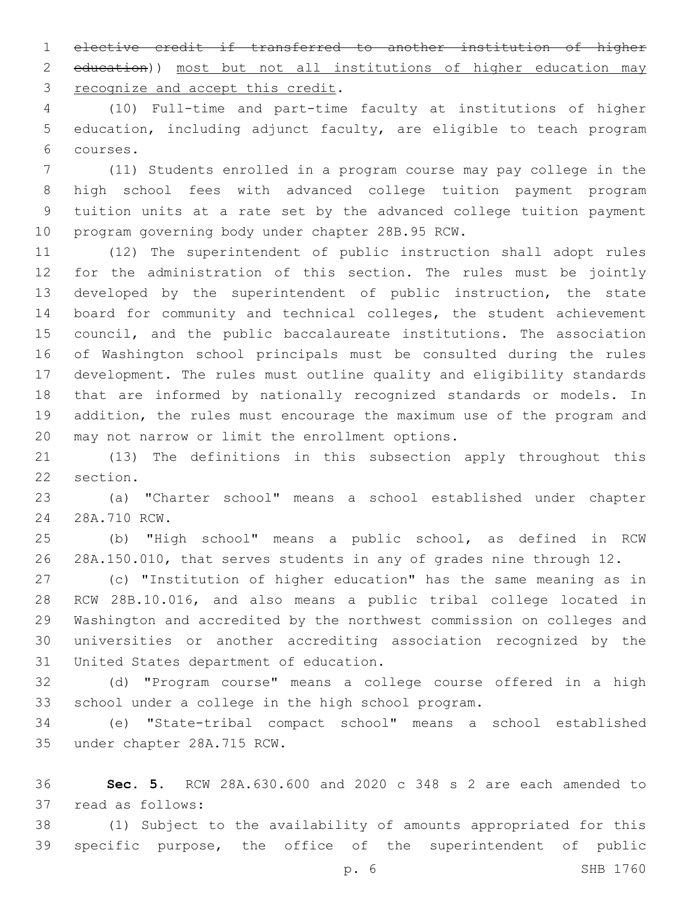elective credit if transferred to another institution of higher education)) most but not all institutions of higher education may 3 recognize and accept this credit.

 (10) Full-time and part-time faculty at institutions of higher education, including adjunct faculty, are eligible to teach program courses.6

 (11) Students enrolled in a program course may pay college in the high school fees with advanced college tuition payment program tuition units at a rate set by the advanced college tuition payment 10 program governing body under chapter 28B.95 RCW.

 (12) The superintendent of public instruction shall adopt rules for the administration of this section. The rules must be jointly developed by the superintendent of public instruction, the state board for community and technical colleges, the student achievement council, and the public baccalaureate institutions. The association of Washington school principals must be consulted during the rules development. The rules must outline quality and eligibility standards that are informed by nationally recognized standards or models. In addition, the rules must encourage the maximum use of the program and 20 may not narrow or limit the enrollment options.

 (13) The definitions in this subsection apply throughout this 22 section.

 (a) "Charter school" means a school established under chapter 28A.710 RCW.24

 (b) "High school" means a public school, as defined in RCW 28A.150.010, that serves students in any of grades nine through 12.

 (c) "Institution of higher education" has the same meaning as in RCW 28B.10.016, and also means a public tribal college located in Washington and accredited by the northwest commission on colleges and universities or another accrediting association recognized by the 31 United States department of education.

 (d) "Program course" means a college course offered in a high school under a college in the high school program.

 (e) "State-tribal compact school" means a school established 35 under chapter 28A.715 RCW.

 **Sec. 5.** RCW 28A.630.600 and 2020 c 348 s 2 are each amended to 37 read as follows:

 (1) Subject to the availability of amounts appropriated for this specific purpose, the office of the superintendent of public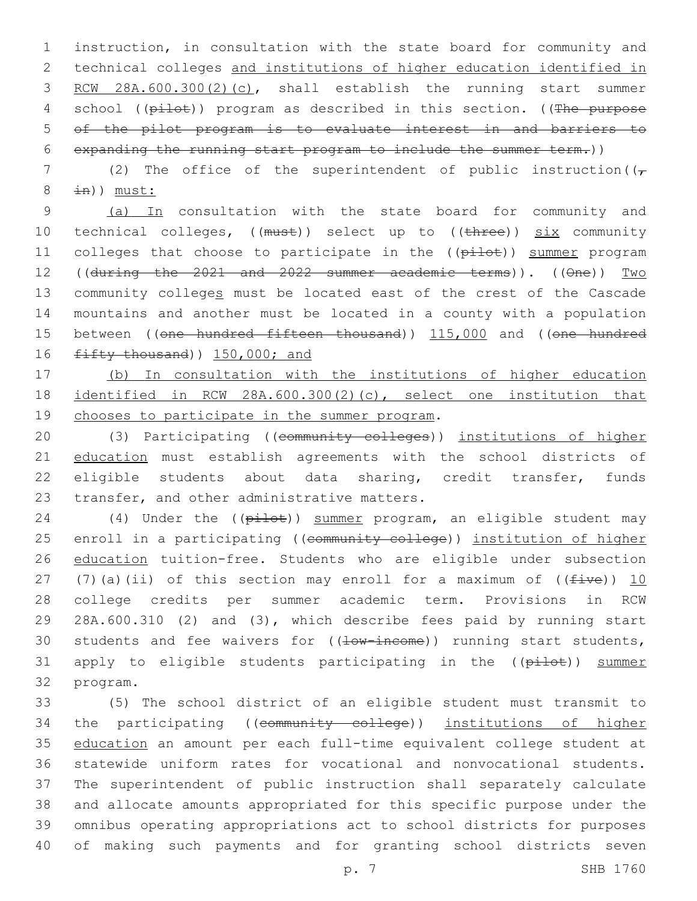instruction, in consultation with the state board for community and technical colleges and institutions of higher education identified in RCW 28A.600.300(2)(c), shall establish the running start summer 4 school ((pilot)) program as described in this section. ((The purpose of the pilot program is to evaluate interest in and barriers to expanding the running start program to include the summer term.))

7 (2) The office of the superintendent of public instruction( $(\tau$  $8 \pm n)$ ) must:

9 (a) In consultation with the state board for community and 10 technical colleges, ((must)) select up to ((three)) six community 11 colleges that choose to participate in the ((pilot)) summer program 12 ((during the 2021 and 2022 summer academic terms)). ((One)) Two 13 community colleges must be located east of the crest of the Cascade 14 mountains and another must be located in a county with a population 15 between ((one hundred fifteen thousand)) 115,000 and ((one hundred 16  $f$ ifty thousand) 150,000; and

17 (b) In consultation with the institutions of higher education 18 identified in RCW 28A.600.300(2)(c), select one institution that 19 chooses to participate in the summer program.

20 (3) Participating ((community colleges)) institutions of higher 21 education must establish agreements with the school districts of 22 eligible students about data sharing, credit transfer, funds 23 transfer, and other administrative matters.

24 (4) Under the ((pilot)) summer program, an eligible student may 25 enroll in a participating ((community college)) institution of higher 26 education tuition-free. Students who are eligible under subsection 27 (7)(a)(ii) of this section may enroll for a maximum of  $((five))$  10 28 college credits per summer academic term. Provisions in RCW 29 28A.600.310 (2) and (3), which describe fees paid by running start 30 students and fee waivers for  $((\pm 0)$  income) running start students, 31 apply to eligible students participating in the ((pilot)) summer 32 program.

 (5) The school district of an eligible student must transmit to 34 the participating ((community college)) institutions of higher education an amount per each full-time equivalent college student at statewide uniform rates for vocational and nonvocational students. The superintendent of public instruction shall separately calculate and allocate amounts appropriated for this specific purpose under the omnibus operating appropriations act to school districts for purposes of making such payments and for granting school districts seven

p. 7 SHB 1760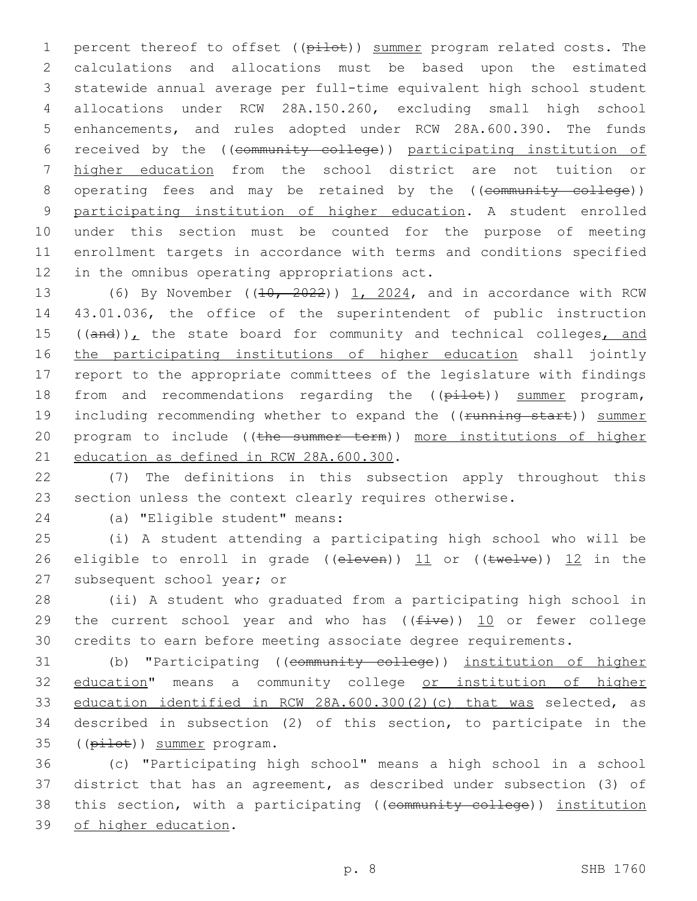1 percent thereof to offset ((pilot)) summer program related costs. The calculations and allocations must be based upon the estimated statewide annual average per full-time equivalent high school student allocations under RCW 28A.150.260, excluding small high school enhancements, and rules adopted under RCW 28A.600.390. The funds received by the ((community college)) participating institution of higher education from the school district are not tuition or 8 operating fees and may be retained by the ((community college)) participating institution of higher education. A student enrolled under this section must be counted for the purpose of meeting enrollment targets in accordance with terms and conditions specified 12 in the omnibus operating appropriations act.

13 (6) By November  $((10, 2022))$  1, 2024, and in accordance with RCW 14 43.01.036, the office of the superintendent of public instruction 15  $((and))_L$  the state board for community and technical colleges, and 16 the participating institutions of higher education shall jointly 17 report to the appropriate committees of the legislature with findings 18 from and recommendations regarding the ((pilot)) summer program, 19 including recommending whether to expand the ((running start)) summer 20 program to include ((the summer term)) more institutions of higher 21 education as defined in RCW 28A.600.300.

22 (7) The definitions in this subsection apply throughout this 23 section unless the context clearly requires otherwise.

(a) "Eligible student" means:24

25 (i) A student attending a participating high school who will be 26 eligible to enroll in grade (( $e$ leven))  $11$  or (( $t$ welve))  $12$  in the 27 subsequent school year; or

28 (ii) A student who graduated from a participating high school in 29 the current school year and who has  $((\text{five}))$  10 or fewer college 30 credits to earn before meeting associate degree requirements.

31 (b) "Participating ((community college)) institution of higher 32 education" means a community college or institution of higher 33 education identified in RCW 28A.600.300(2)(c) that was selected, as 34 described in subsection (2) of this section, to participate in the 35 ((pilot)) summer program.

36 (c) "Participating high school" means a high school in a school 37 district that has an agreement, as described under subsection (3) of 38 this section, with a participating ((community college)) institution 39 of higher education.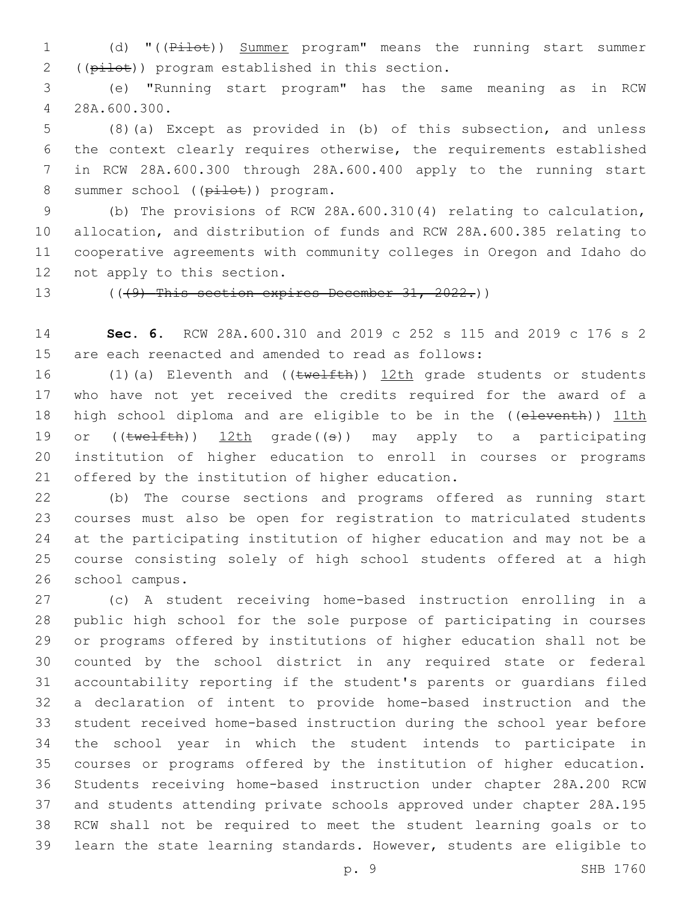1 (d) "((Pilot)) Summer program" means the running start summer 2 ((pilot)) program established in this section.

 (e) "Running start program" has the same meaning as in RCW 28A.600.300.4

 (8)(a) Except as provided in (b) of this subsection, and unless the context clearly requires otherwise, the requirements established in RCW 28A.600.300 through 28A.600.400 apply to the running start 8 summer school ((pilot)) program.

 (b) The provisions of RCW 28A.600.310(4) relating to calculation, allocation, and distribution of funds and RCW 28A.600.385 relating to cooperative agreements with community colleges in Oregon and Idaho do 12 not apply to this section.

13 (((49) This section expires December 31, 2022.))

 **Sec. 6.** RCW 28A.600.310 and 2019 c 252 s 115 and 2019 c 176 s 2 are each reenacted and amended to read as follows:

16 (1)(a) Eleventh and ((twelfth)) 12th grade students or students who have not yet received the credits required for the award of a 18 high school diploma and are eligible to be in the ((eleventh)) 11th 19 or  $((\text{twelfth}))$  12th grade $((\theta))$  may apply to a participating institution of higher education to enroll in courses or programs 21 offered by the institution of higher education.

 (b) The course sections and programs offered as running start courses must also be open for registration to matriculated students at the participating institution of higher education and may not be a course consisting solely of high school students offered at a high 26 school campus.

 (c) A student receiving home-based instruction enrolling in a public high school for the sole purpose of participating in courses or programs offered by institutions of higher education shall not be counted by the school district in any required state or federal accountability reporting if the student's parents or guardians filed a declaration of intent to provide home-based instruction and the student received home-based instruction during the school year before the school year in which the student intends to participate in courses or programs offered by the institution of higher education. Students receiving home-based instruction under chapter 28A.200 RCW and students attending private schools approved under chapter 28A.195 RCW shall not be required to meet the student learning goals or to learn the state learning standards. However, students are eligible to

p. 9 SHB 1760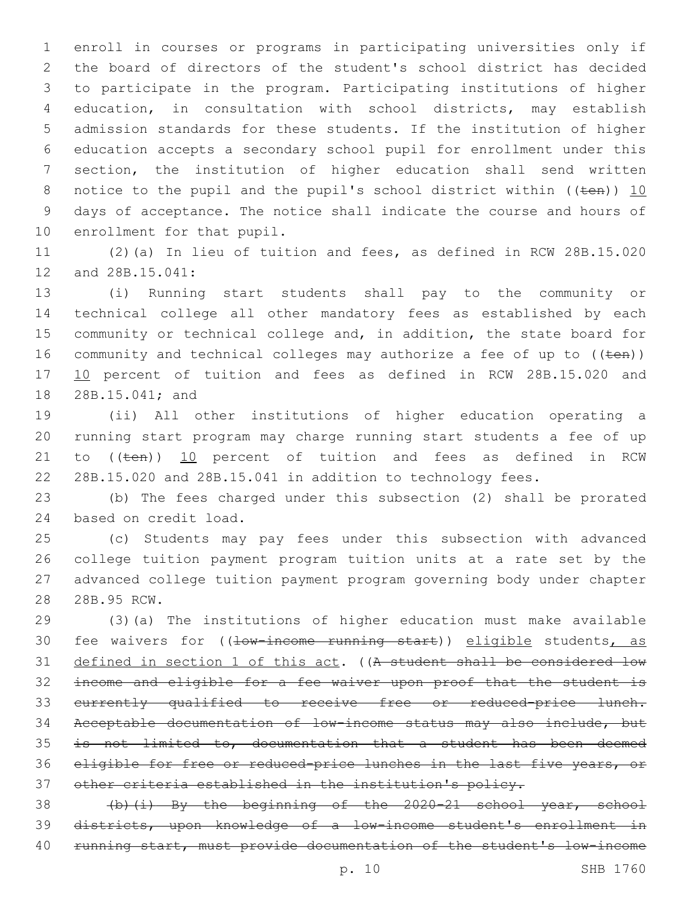enroll in courses or programs in participating universities only if the board of directors of the student's school district has decided to participate in the program. Participating institutions of higher education, in consultation with school districts, may establish admission standards for these students. If the institution of higher education accepts a secondary school pupil for enrollment under this section, the institution of higher education shall send written 8 notice to the pupil and the pupil's school district within ((ten)) 10 days of acceptance. The notice shall indicate the course and hours of 10 enrollment for that pupil.

 (2)(a) In lieu of tuition and fees, as defined in RCW 28B.15.020 12 and 28B.15.041:

 (i) Running start students shall pay to the community or technical college all other mandatory fees as established by each community or technical college and, in addition, the state board for 16 community and technical colleges may authorize a fee of up to  $((\text{ten}))$ 17 10 percent of tuition and fees as defined in RCW 28B.15.020 and 18 28B.15.041; and

 (ii) All other institutions of higher education operating a running start program may charge running start students a fee of up 21 to ((ten)) 10 percent of tuition and fees as defined in RCW 28B.15.020 and 28B.15.041 in addition to technology fees.

 (b) The fees charged under this subsection (2) shall be prorated 24 based on credit load.

 (c) Students may pay fees under this subsection with advanced college tuition payment program tuition units at a rate set by the advanced college tuition payment program governing body under chapter 28 28B.95 RCW.

 (3)(a) The institutions of higher education must make available 30 fee waivers for ((low-income running start)) eligible students, as 31 defined in section 1 of this act. ((A student shall be considered low income and eligible for a fee waiver upon proof that the student is currently qualified to receive free or reduced-price lunch. Acceptable documentation of low-income status may also include, but is not limited to, documentation that a student has been deemed eligible for free or reduced-price lunches in the last five years, or other criteria established in the institution's policy.

38 (b)(i) By the beginning of the 2020-21 school year, school districts, upon knowledge of a low-income student's enrollment in 40 running start, must provide documentation of the student's low-income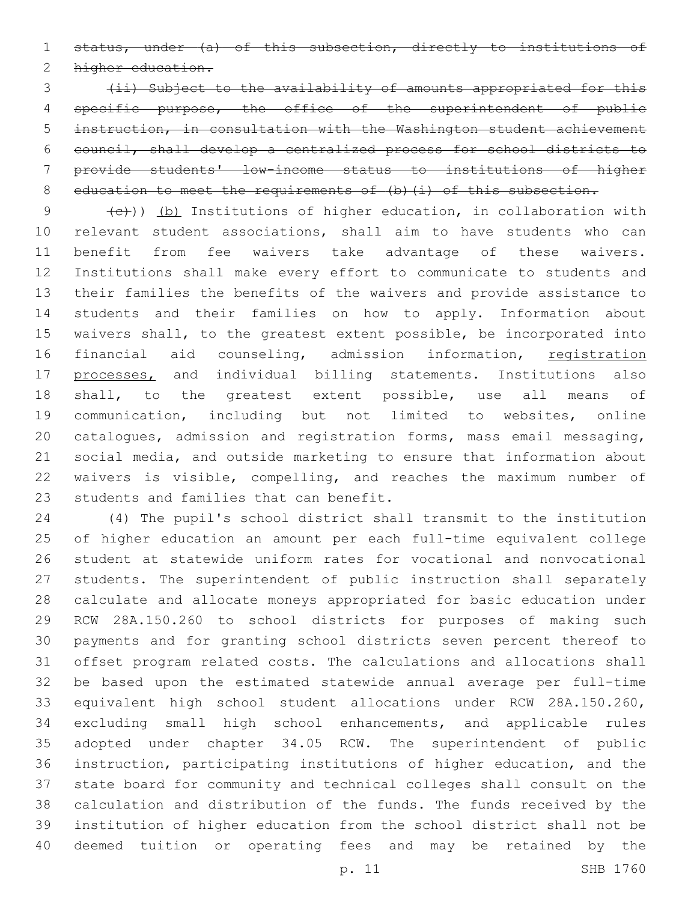status, under (a) of this subsection, directly to institutions of

2 higher education.

 (ii) Subject to the availability of amounts appropriated for this 4 specific purpose, the office of the superintendent of public instruction, in consultation with the Washington student achievement council, shall develop a centralized process for school districts to provide students' low-income status to institutions of higher 8 education to meet the requirements of (b) (i) of this subsection.

 $(e+))$  (b) Institutions of higher education, in collaboration with relevant student associations, shall aim to have students who can benefit from fee waivers take advantage of these waivers. Institutions shall make every effort to communicate to students and their families the benefits of the waivers and provide assistance to students and their families on how to apply. Information about waivers shall, to the greatest extent possible, be incorporated into 16 financial aid counseling, admission information, registration 17 processes, and individual billing statements. Institutions also shall, to the greatest extent possible, use all means of communication, including but not limited to websites, online catalogues, admission and registration forms, mass email messaging, social media, and outside marketing to ensure that information about waivers is visible, compelling, and reaches the maximum number of 23 students and families that can benefit.

 (4) The pupil's school district shall transmit to the institution of higher education an amount per each full-time equivalent college student at statewide uniform rates for vocational and nonvocational students. The superintendent of public instruction shall separately calculate and allocate moneys appropriated for basic education under RCW 28A.150.260 to school districts for purposes of making such payments and for granting school districts seven percent thereof to offset program related costs. The calculations and allocations shall be based upon the estimated statewide annual average per full-time equivalent high school student allocations under RCW 28A.150.260, excluding small high school enhancements, and applicable rules adopted under chapter 34.05 RCW. The superintendent of public instruction, participating institutions of higher education, and the state board for community and technical colleges shall consult on the calculation and distribution of the funds. The funds received by the institution of higher education from the school district shall not be deemed tuition or operating fees and may be retained by the

p. 11 SHB 1760